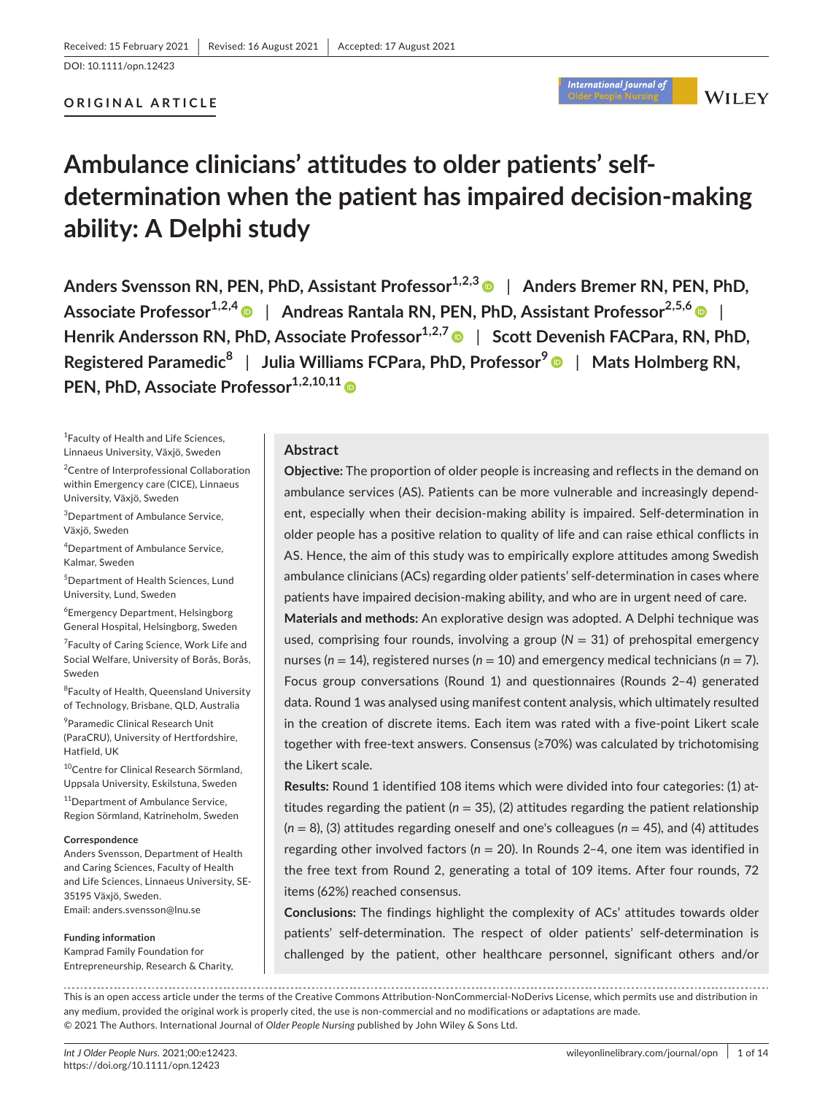## **ORIGINAL ARTICLE**

# International Journal of

**WILEY** 

# **Ambulance clinicians' attitudes to older patients' selfdetermination when the patient has impaired decision-making ability: A Delphi study**

**Anders Svensson RN, PEN, PhD, Assistant Professor<sup>1,2,3</sup> | Anders Bremer RN, PEN, PhD, Associate Professor1,2,[4](https://orcid.org/0000-0001-7865-3480)** | **Andreas Rantala RN, PEN, PhD, Assistant Professor2,5,6** | **Henrik Andersson RN, PhD, Associate Professor**<sup>1,2,7</sup> | Scott Devenish FACPara, RN, PhD, **Registered Paramedic8** | **Julia Williams FCPara, PhD, Professor<sup>9</sup>** | **Mats Holmberg RN, PEN, PhD, Associate Professor**<sup>[1](https://orcid.org/0000-0003-1878-0992),2,10,11</sup>

1 Faculty of Health and Life Sciences, Linnaeus University, Växjö, Sweden

<sup>2</sup> Centre of Interprofessional Collaboration within Emergency care (CICE), Linnaeus University, Växjö, Sweden

3 Department of Ambulance Service, Växjö, Sweden

4 Department of Ambulance Service, Kalmar, Sweden

5 Department of Health Sciences, Lund University, Lund, Sweden

6 Emergency Department, Helsingborg General Hospital, Helsingborg, Sweden

<sup>7</sup> Faculty of Caring Science, Work Life and Social Welfare, University of Borås, Borås, Sweden

<sup>8</sup>Faculty of Health, Queensland University of Technology, Brisbane, QLD, Australia

9 Paramedic Clinical Research Unit (ParaCRU), University of Hertfordshire, Hatfield, UK

<sup>10</sup>Centre for Clinical Research Sörmland, Uppsala University, Eskilstuna, Sweden

<sup>11</sup>Department of Ambulance Service, Region Sörmland, Katrineholm, Sweden

#### **Correspondence**

Anders Svensson, Department of Health and Caring Sciences, Faculty of Health and Life Sciences, Linnaeus University, SE-35195 Växjö, Sweden. Email: [anders.svensson@lnu.se](mailto:anders.svensson@lnu.se)

#### **Funding information**

Kamprad Family Foundation for Entrepreneurship, Research & Charity,

## **Abstract**

**Objective:** The proportion of older people is increasing and reflects in the demand on ambulance services (AS). Patients can be more vulnerable and increasingly dependent, especially when their decision-making ability is impaired. Self-determination in older people has a positive relation to quality of life and can raise ethical conflicts in AS. Hence, the aim of this study was to empirically explore attitudes among Swedish ambulance clinicians (ACs) regarding older patients' self-determination in cases where patients have impaired decision-making ability, and who are in urgent need of care.

**Materials and methods:** An explorative design was adopted. A Delphi technique was used, comprising four rounds, involving a group  $(N = 31)$  of prehospital emergency nurses (*n* = 14), registered nurses (*n* = 10) and emergency medical technicians (*n* = 7). Focus group conversations (Round 1) and questionnaires (Rounds 2–4) generated data. Round 1 was analysed using manifest content analysis, which ultimately resulted in the creation of discrete items. Each item was rated with a five-point Likert scale together with free-text answers. Consensus (≥70%) was calculated by trichotomising the Likert scale.

**Results:** Round 1 identified 108 items which were divided into four categories: (1) attitudes regarding the patient ( $n = 35$ ), (2) attitudes regarding the patient relationship (*n* = 8), (3) attitudes regarding oneself and one's colleagues (*n* = 45), and (4) attitudes regarding other involved factors (*n* = 20). In Rounds 2–4, one item was identified in the free text from Round 2, generating a total of 109 items. After four rounds, 72 items (62%) reached consensus.

**Conclusions:** The findings highlight the complexity of ACs' attitudes towards older patients' self-determination. The respect of older patients' self-determination is challenged by the patient, other healthcare personnel, significant others and/or

This is an open access article under the terms of the Creative Commons [Attribution-NonCommercial-NoDerivs](http://creativecommons.org/licenses/by-nc-nd/4.0/) License, which permits use and distribution in any medium, provided the original work is properly cited, the use is non-commercial and no modifications or adaptations are made. © 2021 The Authors. International Journal of *Older People Nursing* published by John Wiley & Sons Ltd.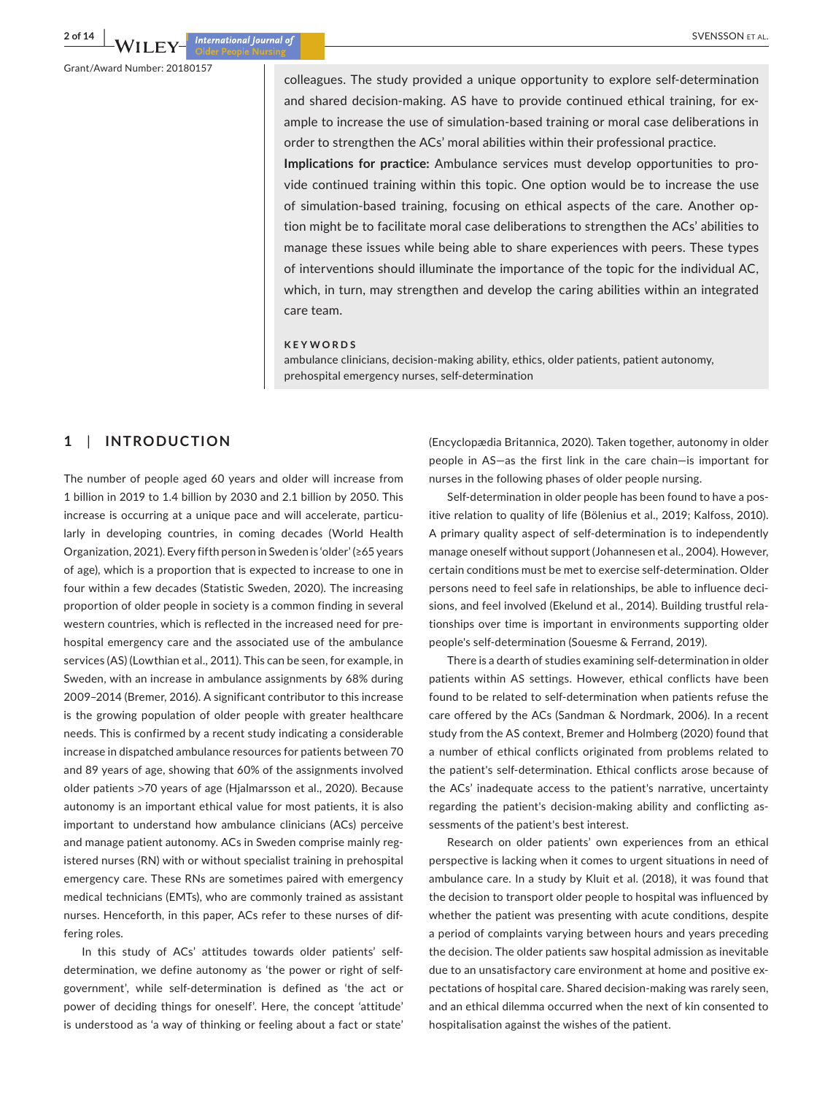Grant/Award Number: 20180157

colleagues. The study provided a unique opportunity to explore self-determination and shared decision-making. AS have to provide continued ethical training, for example to increase the use of simulation-based training or moral case deliberations in order to strengthen the ACs' moral abilities within their professional practice. **Implications for practice:** Ambulance services must develop opportunities to provide continued training within this topic. One option would be to increase the use of simulation-based training, focusing on ethical aspects of the care. Another option might be to facilitate moral case deliberations to strengthen the ACs' abilities to manage these issues while being able to share experiences with peers. These types of interventions should illuminate the importance of the topic for the individual AC, which, in turn, may strengthen and develop the caring abilities within an integrated care team.

#### **KEYWORDS**

ambulance clinicians, decision-making ability, ethics, older patients, patient autonomy, prehospital emergency nurses, self-determination

# **1**  | **INTRODUCTION**

The number of people aged 60 years and older will increase from 1 billion in 2019 to 1.4 billion by 2030 and 2.1 billion by 2050. This increase is occurring at a unique pace and will accelerate, particularly in developing countries, in coming decades (World Health Organization, 2021). Every fifth person in Sweden is 'older' (≥65 years of age), which is a proportion that is expected to increase to one in four within a few decades (Statistic Sweden, 2020). The increasing proportion of older people in society is a common finding in several western countries, which is reflected in the increased need for prehospital emergency care and the associated use of the ambulance services (AS) (Lowthian et al., 2011). This can be seen, for example, in Sweden, with an increase in ambulance assignments by 68% during 2009–2014 (Bremer, 2016). A significant contributor to this increase is the growing population of older people with greater healthcare needs. This is confirmed by a recent study indicating a considerable increase in dispatched ambulance resources for patients between 70 and 89 years of age, showing that 60% of the assignments involved older patients >70 years of age (Hjalmarsson et al., 2020). Because autonomy is an important ethical value for most patients, it is also important to understand how ambulance clinicians (ACs) perceive and manage patient autonomy. ACs in Sweden comprise mainly registered nurses (RN) with or without specialist training in prehospital emergency care. These RNs are sometimes paired with emergency medical technicians (EMTs), who are commonly trained as assistant nurses. Henceforth, in this paper, ACs refer to these nurses of differing roles.

In this study of ACs' attitudes towards older patients' selfdetermination, we define autonomy as 'the power or right of selfgovernment', while self-determination is defined as 'the act or power of deciding things for oneself'. Here, the concept 'attitude' is understood as 'a way of thinking or feeling about a fact or state'

(Encyclopædia Britannica, 2020). Taken together, autonomy in older people in AS—as the first link in the care chain—is important for nurses in the following phases of older people nursing.

Self-determination in older people has been found to have a positive relation to quality of life (Bölenius et al., 2019; Kalfoss, 2010). A primary quality aspect of self-determination is to independently manage oneself without support (Johannesen et al., 2004). However, certain conditions must be met to exercise self-determination. Older persons need to feel safe in relationships, be able to influence decisions, and feel involved (Ekelund et al., 2014). Building trustful relationships over time is important in environments supporting older people's self-determination (Souesme & Ferrand, 2019).

There is a dearth of studies examining self-determination in older patients within AS settings. However, ethical conflicts have been found to be related to self-determination when patients refuse the care offered by the ACs (Sandman & Nordmark, 2006). In a recent study from the AS context, Bremer and Holmberg (2020) found that a number of ethical conflicts originated from problems related to the patient's self-determination. Ethical conflicts arose because of the ACs' inadequate access to the patient's narrative, uncertainty regarding the patient's decision-making ability and conflicting assessments of the patient's best interest.

Research on older patients' own experiences from an ethical perspective is lacking when it comes to urgent situations in need of ambulance care. In a study by Kluit et al. (2018), it was found that the decision to transport older people to hospital was influenced by whether the patient was presenting with acute conditions, despite a period of complaints varying between hours and years preceding the decision. The older patients saw hospital admission as inevitable due to an unsatisfactory care environment at home and positive expectations of hospital care. Shared decision-making was rarely seen, and an ethical dilemma occurred when the next of kin consented to hospitalisation against the wishes of the patient.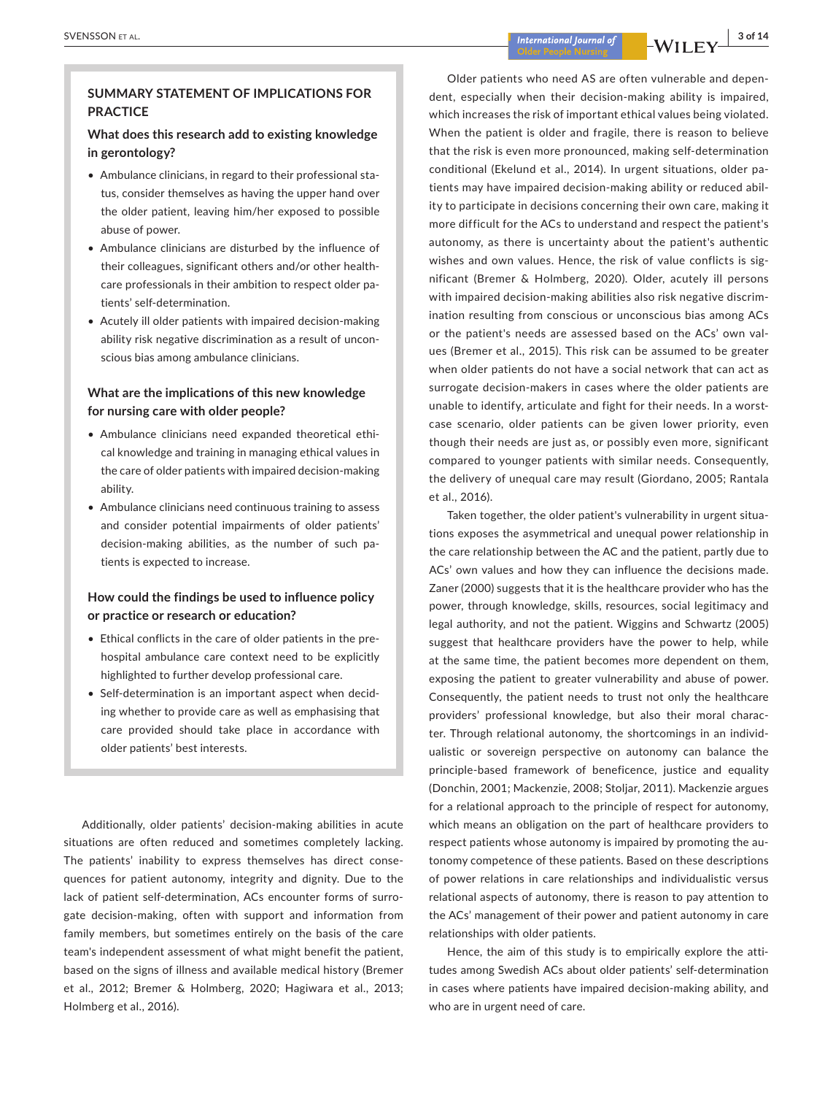## **SUMMARY STATEMENT OF IMPLICATIONS FOR PRACTICE**

## **What does this research add to existing knowledge in gerontology?**

- Ambulance clinicians, in regard to their professional status, consider themselves as having the upper hand over the older patient, leaving him/her exposed to possible abuse of power.
- Ambulance clinicians are disturbed by the influence of their colleagues, significant others and/or other healthcare professionals in their ambition to respect older patients' self-determination.
- Acutely ill older patients with impaired decision-making ability risk negative discrimination as a result of unconscious bias among ambulance clinicians.

## **What are the implications of this new knowledge for nursing care with older people?**

- • Ambulance clinicians need expanded theoretical ethical knowledge and training in managing ethical values in the care of older patients with impaired decision-making ability.
- Ambulance clinicians need continuous training to assess and consider potential impairments of older patients' decision-making abilities, as the number of such patients is expected to increase.

## **How could the findings be used to influence policy or practice or research or education?**

- Ethical conflicts in the care of older patients in the prehospital ambulance care context need to be explicitly highlighted to further develop professional care.
- Self-determination is an important aspect when deciding whether to provide care as well as emphasising that care provided should take place in accordance with older patients' best interests.

Additionally, older patients' decision-making abilities in acute situations are often reduced and sometimes completely lacking. The patients' inability to express themselves has direct consequences for patient autonomy, integrity and dignity. Due to the lack of patient self-determination, ACs encounter forms of surrogate decision-making, often with support and information from family members, but sometimes entirely on the basis of the care team's independent assessment of what might benefit the patient, based on the signs of illness and available medical history (Bremer et al., 2012; Bremer & Holmberg, 2020; Hagiwara et al., 2013; Holmberg et al., 2016).

Older patients who need AS are often vulnerable and dependent, especially when their decision-making ability is impaired, which increases the risk of important ethical values being violated. When the patient is older and fragile, there is reason to believe that the risk is even more pronounced, making self-determination conditional (Ekelund et al., 2014). In urgent situations, older patients may have impaired decision-making ability or reduced ability to participate in decisions concerning their own care, making it more difficult for the ACs to understand and respect the patient's autonomy, as there is uncertainty about the patient's authentic wishes and own values. Hence, the risk of value conflicts is significant (Bremer & Holmberg, 2020). Older, acutely ill persons with impaired decision-making abilities also risk negative discrimination resulting from conscious or unconscious bias among ACs or the patient's needs are assessed based on the ACs' own values (Bremer et al., 2015). This risk can be assumed to be greater when older patients do not have a social network that can act as surrogate decision-makers in cases where the older patients are unable to identify, articulate and fight for their needs. In a worstcase scenario, older patients can be given lower priority, even though their needs are just as, or possibly even more, significant compared to younger patients with similar needs. Consequently, the delivery of unequal care may result (Giordano, 2005; Rantala et al., 2016).

Taken together, the older patient's vulnerability in urgent situations exposes the asymmetrical and unequal power relationship in the care relationship between the AC and the patient, partly due to ACs' own values and how they can influence the decisions made. Zaner (2000) suggests that it is the healthcare provider who has the power, through knowledge, skills, resources, social legitimacy and legal authority, and not the patient. Wiggins and Schwartz (2005) suggest that healthcare providers have the power to help, while at the same time, the patient becomes more dependent on them, exposing the patient to greater vulnerability and abuse of power. Consequently, the patient needs to trust not only the healthcare providers' professional knowledge, but also their moral character. Through relational autonomy, the shortcomings in an individualistic or sovereign perspective on autonomy can balance the principle-based framework of beneficence, justice and equality (Donchin, 2001; Mackenzie, 2008; Stoljar, 2011). Mackenzie argues for a relational approach to the principle of respect for autonomy, which means an obligation on the part of healthcare providers to respect patients whose autonomy is impaired by promoting the autonomy competence of these patients. Based on these descriptions of power relations in care relationships and individualistic versus relational aspects of autonomy, there is reason to pay attention to the ACs' management of their power and patient autonomy in care relationships with older patients.

Hence, the aim of this study is to empirically explore the attitudes among Swedish ACs about older patients' self-determination in cases where patients have impaired decision-making ability, and who are in urgent need of care.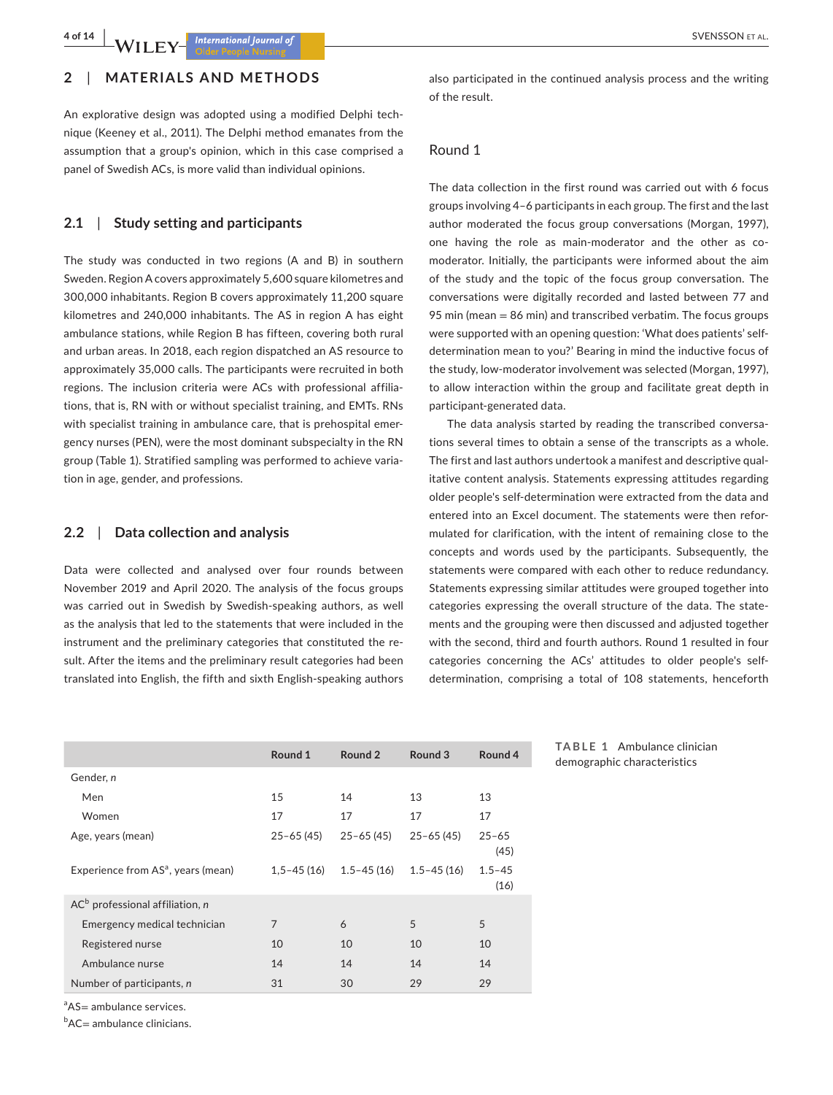# **2**  | **MATERIALS AND METHODS**

An explorative design was adopted using a modified Delphi technique (Keeney et al., 2011). The Delphi method emanates from the assumption that a group's opinion, which in this case comprised a panel of Swedish ACs, is more valid than individual opinions.

# **2.1**  | **Study setting and participants**

The study was conducted in two regions (A and B) in southern Sweden. Region A covers approximately 5,600 square kilometres and 300,000 inhabitants. Region B covers approximately 11,200 square kilometres and 240,000 inhabitants. The AS in region A has eight ambulance stations, while Region B has fifteen, covering both rural and urban areas. In 2018, each region dispatched an AS resource to approximately 35,000 calls. The participants were recruited in both regions. The inclusion criteria were ACs with professional affiliations, that is, RN with or without specialist training, and EMTs. RNs with specialist training in ambulance care, that is prehospital emergency nurses (PEN), were the most dominant subspecialty in the RN group (Table 1). Stratified sampling was performed to achieve variation in age, gender, and professions.

## **2.2**  | **Data collection and analysis**

Data were collected and analysed over four rounds between November 2019 and April 2020. The analysis of the focus groups was carried out in Swedish by Swedish-speaking authors, as well as the analysis that led to the statements that were included in the instrument and the preliminary categories that constituted the result. After the items and the preliminary result categories had been translated into English, the fifth and sixth English-speaking authors also participated in the continued analysis process and the writing of the result.

#### Round 1

The data collection in the first round was carried out with 6 focus groups involving 4–6 participants in each group. The first and the last author moderated the focus group conversations (Morgan, 1997), one having the role as main-moderator and the other as comoderator. Initially, the participants were informed about the aim of the study and the topic of the focus group conversation. The conversations were digitally recorded and lasted between 77 and 95 min (mean = 86 min) and transcribed verbatim. The focus groups were supported with an opening question: 'What does patients' selfdetermination mean to you?' Bearing in mind the inductive focus of the study, low-moderator involvement was selected (Morgan, 1997), to allow interaction within the group and facilitate great depth in participant-generated data.

The data analysis started by reading the transcribed conversations several times to obtain a sense of the transcripts as a whole. The first and last authors undertook a manifest and descriptive qualitative content analysis. Statements expressing attitudes regarding older people's self-determination were extracted from the data and entered into an Excel document. The statements were then reformulated for clarification, with the intent of remaining close to the concepts and words used by the participants. Subsequently, the statements were compared with each other to reduce redundancy. Statements expressing similar attitudes were grouped together into categories expressing the overall structure of the data. The statements and the grouping were then discussed and adjusted together with the second, third and fourth authors. Round 1 resulted in four categories concerning the ACs' attitudes to older people's selfdetermination, comprising a total of 108 statements, henceforth

|                                                | Round 1        | Round 2        | Round 3        | Round 4            |
|------------------------------------------------|----------------|----------------|----------------|--------------------|
| Gender, n                                      |                |                |                |                    |
| Men                                            | 15             | 14             | 13             | 13                 |
| Women                                          | 17             | 17             | 17             | 17                 |
| Age, years (mean)                              | $25 - 65(45)$  | $25 - 65(45)$  | $25 - 65(45)$  | $25 - 65$<br>(45)  |
| Experience from AS <sup>a</sup> , years (mean) | $1.5 - 45(16)$ | $1.5 - 45(16)$ | $1.5 - 45(16)$ | $1.5 - 45$<br>(16) |
| $AC^b$ professional affiliation, n             |                |                |                |                    |
| Emergency medical technician                   | $\overline{7}$ | 6              | 5              | 5                  |
| Registered nurse                               | 10             | 10             | 10             | 10                 |
| Ambulance nurse                                | 14             | 14             | 14             | 14                 |
| Number of participants, n                      | 31             | 30             | 29             | 29                 |

**TABLE 1** Ambulance clinician demographic characteristics

<sup>a</sup>AS= ambulance services.

 $b$ AC $=$  ambulance clinicians.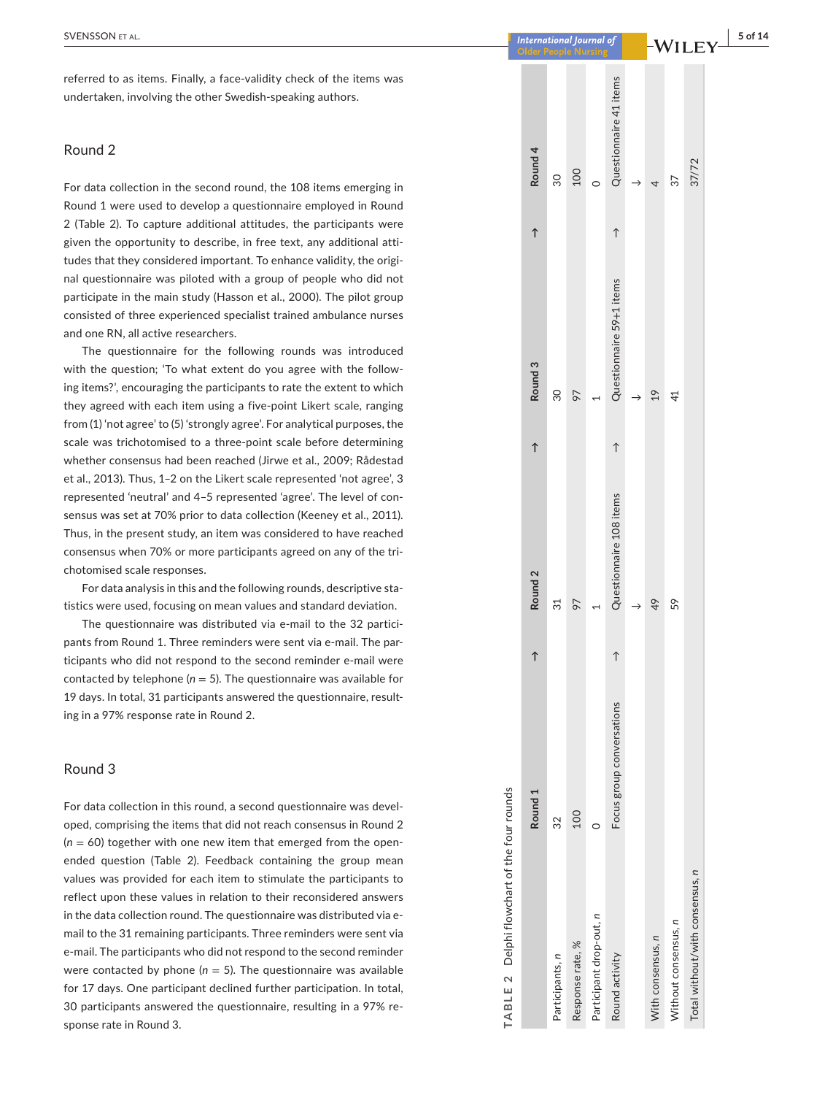referred to as items. Finally, a face-validity check of the items was undertaken, involving the other Swedish-speaking authors.

## Round 2

For data collection in the second round, the 108 items emerging in Round 1 were used to develop a questionnaire employed in Round 2 (Table 2). To capture additional attitudes, the participants were given the opportunity to describe, in free text, any additional atti tudes that they considered important. To enhance validity, the origi nal questionnaire was piloted with a group of people who did not participate in the main study (Hasson et al., 2000). The pilot group consisted of three experienced specialist trained ambulance nurses and one RN, all active researchers.

The questionnaire for the following rounds was introduced with the question; 'To what extent do you agree with the follow ing items?', encouraging the participants to rate the extent to which they agreed with each item using a five-point Likert scale, ranging from (1) 'not agree' to (5) 'strongly agree'. For analytical purposes, the scale was trichotomised to a three-point scale before determining whether consensus had been reached (Jirwe et al., 2009; Rådestad et al., 2013). Thus, 1– 2 on the Likert scale represented 'not agree', 3 represented 'neutral' and 4– 5 represented 'agree'. The level of con sensus was set at 70% prior to data collection (Keeney et al., 2011). Thus, in the present study, an item was considered to have reached consensus when 70% or more participants agreed on any of the tri chotomised scale responses.

For data analysis in this and the following rounds, descriptive sta tistics were used, focusing on mean values and standard deviation.

The questionnaire was distributed via e-mail to the 32 partici pants from Round 1. Three reminders were sent via e-mail. The par ticipants who did not respond to the second reminder e-mail were contacted by telephone ( *n* = 5). The questionnaire was available for 19 days. In total, 31 participants answered the questionnaire, result ing in a 97% response rate in Round 2.

#### Round 3

For data collection in this round, a second questionnaire was devel oped, comprising the items that did not reach consensus in Round 2 ( *n* = 60) together with one new item that emerged from the openended question (Table 2). Feedback containing the group mean values was provided for each item to stimulate the participants to reflect upon these values in relation to their reconsidered answers in the data collection round. The questionnaire was distributed via email to the 31 remaining participants. Three reminders were sent via e-mail. The participants who did not respond to the second reminder were contacted by phone ( *n* = 5). The questionnaire was available for 17 days. One participant declined further participation. In total, 30 participants answered the questionnaire, resulting in a 97% re sponse rate in Round 3.

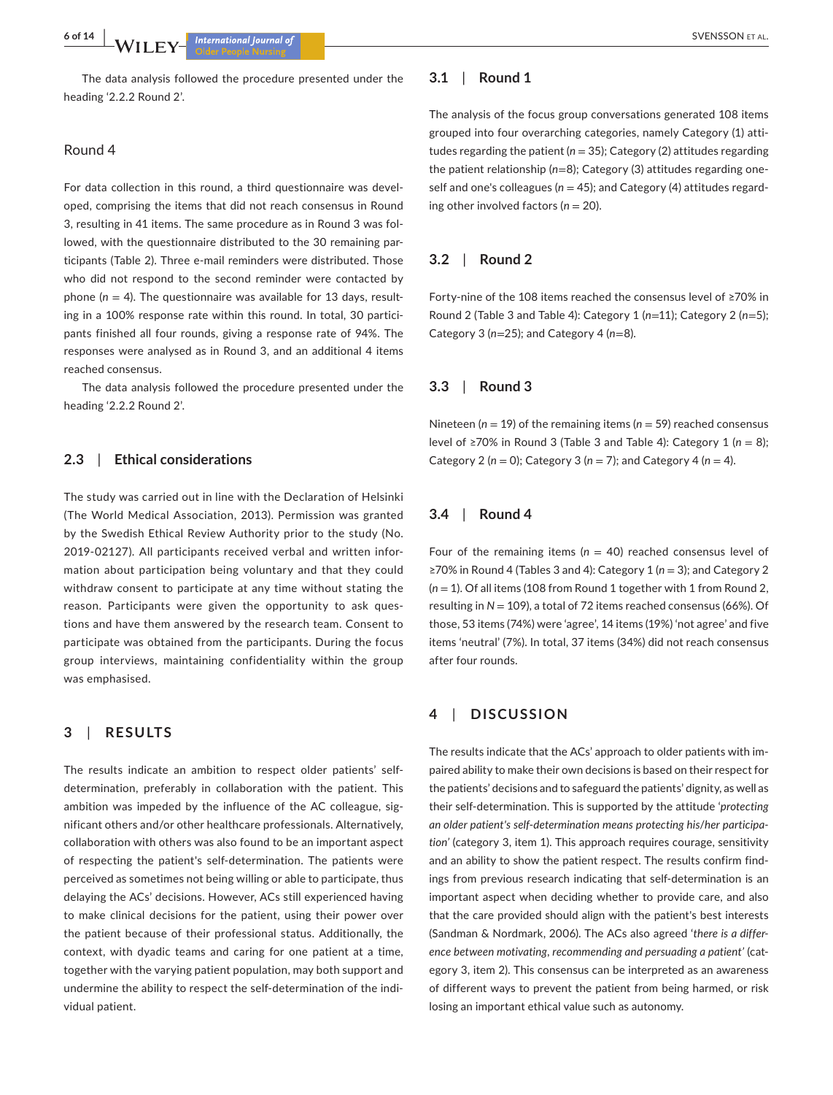The data analysis followed the procedure presented under the heading '2.2.2 Round 2'.

## Round 4

For data collection in this round, a third questionnaire was developed, comprising the items that did not reach consensus in Round 3, resulting in 41 items. The same procedure as in Round 3 was followed, with the questionnaire distributed to the 30 remaining participants (Table 2). Three e-mail reminders were distributed. Those who did not respond to the second reminder were contacted by phone  $(n = 4)$ . The questionnaire was available for 13 days, resulting in a 100% response rate within this round. In total, 30 participants finished all four rounds, giving a response rate of 94%. The responses were analysed as in Round 3, and an additional 4 items reached consensus.

The data analysis followed the procedure presented under the heading '2.2.2 Round 2'.

### **2.3**  | **Ethical considerations**

The study was carried out in line with the Declaration of Helsinki (The World Medical Association, 2013). Permission was granted by the Swedish Ethical Review Authority prior to the study (No. 2019-02127). All participants received verbal and written information about participation being voluntary and that they could withdraw consent to participate at any time without stating the reason. Participants were given the opportunity to ask questions and have them answered by the research team. Consent to participate was obtained from the participants. During the focus group interviews, maintaining confidentiality within the group was emphasised.

## **3**  | **RESULTS**

The results indicate an ambition to respect older patients' selfdetermination, preferably in collaboration with the patient. This ambition was impeded by the influence of the AC colleague, significant others and/or other healthcare professionals. Alternatively, collaboration with others was also found to be an important aspect of respecting the patient's self-determination. The patients were perceived as sometimes not being willing or able to participate, thus delaying the ACs' decisions. However, ACs still experienced having to make clinical decisions for the patient, using their power over the patient because of their professional status. Additionally, the context, with dyadic teams and caring for one patient at a time, together with the varying patient population, may both support and undermine the ability to respect the self-determination of the individual patient.

## **3.1**  | **Round 1**

The analysis of the focus group conversations generated 108 items grouped into four overarching categories, namely Category (1) attitudes regarding the patient (*n* = 35); Category (2) attitudes regarding the patient relationship (*n*=8); Category (3) attitudes regarding oneself and one's colleagues ( $n = 45$ ); and Category (4) attitudes regarding other involved factors (*n* = 20).

#### **3.2**  | **Round 2**

Forty-nine of the 108 items reached the consensus level of ≥70% in Round 2 (Table 3 and Table 4): Category 1 (*n*=11); Category 2 (*n*=5); Category 3 (*n*=25); and Category 4 (*n*=8).

### **3.3**  | **Round 3**

Nineteen ( $n = 19$ ) of the remaining items ( $n = 59$ ) reached consensus level of ≥70% in Round 3 (Table 3 and Table 4): Category 1 (*n* = 8); Category 2 ( $n = 0$ ); Category 3 ( $n = 7$ ); and Category 4 ( $n = 4$ ).

### **3.4**  | **Round 4**

Four of the remaining items ( $n = 40$ ) reached consensus level of ≥70% in Round 4 (Tables 3 and 4): Category 1 (*n* = 3); and Category 2 (*n* = 1). Of all items (108 from Round 1 together with 1 from Round 2, resulting in *N* = 109), a total of 72 items reached consensus (66%). Of those, 53 items (74%) were 'agree', 14 items (19%) 'not agree' and five items 'neutral' (7%). In total, 37 items (34%) did not reach consensus after four rounds.

## **4**  | **DISCUSSION**

The results indicate that the ACs' approach to older patients with impaired ability to make their own decisions is based on their respect for the patients' decisions and to safeguard the patients' dignity, as well as their self-determination. This is supported by the attitude '*protecting an older patient's self*-*determination means protecting his*/*her participation'* (category 3, item 1). This approach requires courage, sensitivity and an ability to show the patient respect. The results confirm findings from previous research indicating that self-determination is an important aspect when deciding whether to provide care, and also that the care provided should align with the patient's best interests (Sandman & Nordmark, 2006). The ACs also agreed '*there is a difference between motivating*, *recommending and persuading a patient'* (category 3, item 2). This consensus can be interpreted as an awareness of different ways to prevent the patient from being harmed, or risk losing an important ethical value such as autonomy.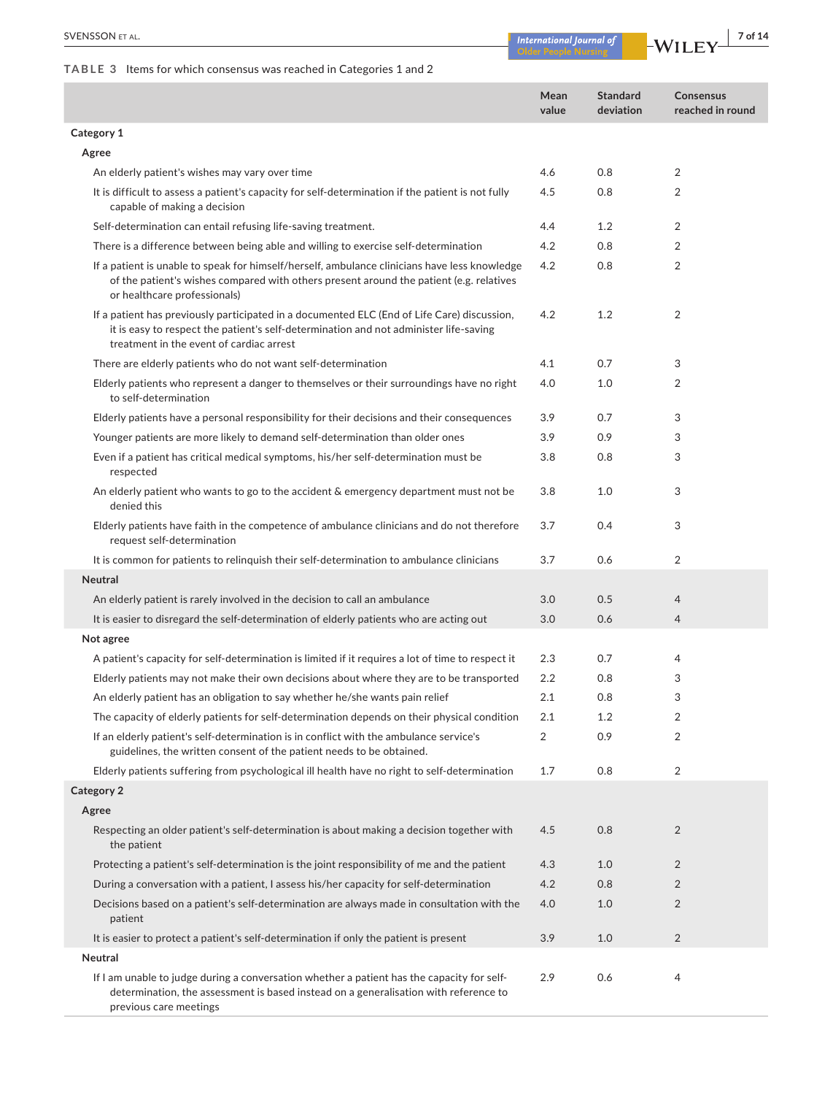**TABLE 3** Items for which consensus was reached in Categories 1 and 2

|                                                                                                                                                                                                                                  | Mean<br>value  | <b>Standard</b><br>deviation | <b>Consensus</b><br>reached in round |
|----------------------------------------------------------------------------------------------------------------------------------------------------------------------------------------------------------------------------------|----------------|------------------------------|--------------------------------------|
| Category 1                                                                                                                                                                                                                       |                |                              |                                      |
| Agree                                                                                                                                                                                                                            |                |                              |                                      |
| An elderly patient's wishes may vary over time                                                                                                                                                                                   | 4.6            | 0.8                          | $\overline{2}$                       |
| It is difficult to assess a patient's capacity for self-determination if the patient is not fully<br>capable of making a decision                                                                                                | 4.5            | 0.8                          | $\overline{2}$                       |
| Self-determination can entail refusing life-saving treatment.                                                                                                                                                                    | 4.4            | 1.2                          | $\overline{2}$                       |
| There is a difference between being able and willing to exercise self-determination                                                                                                                                              | 4.2            | 0.8                          | 2                                    |
| If a patient is unable to speak for himself/herself, ambulance clinicians have less knowledge<br>of the patient's wishes compared with others present around the patient (e.g. relatives<br>or healthcare professionals)         | 4.2            | 0.8                          | $\overline{2}$                       |
| If a patient has previously participated in a documented ELC (End of Life Care) discussion,<br>it is easy to respect the patient's self-determination and not administer life-saving<br>treatment in the event of cardiac arrest | 4.2            | 1.2                          | $\overline{2}$                       |
| There are elderly patients who do not want self-determination                                                                                                                                                                    | 4.1            | 0.7                          | 3                                    |
| Elderly patients who represent a danger to themselves or their surroundings have no right<br>to self-determination                                                                                                               | 4.0            | 1.0                          | $\overline{2}$                       |
| Elderly patients have a personal responsibility for their decisions and their consequences                                                                                                                                       | 3.9            | 0.7                          | 3                                    |
| Younger patients are more likely to demand self-determination than older ones                                                                                                                                                    | 3.9            | 0.9                          | 3                                    |
| Even if a patient has critical medical symptoms, his/her self-determination must be<br>respected                                                                                                                                 | 3.8            | 0.8                          | 3                                    |
| An elderly patient who wants to go to the accident & emergency department must not be<br>denied this                                                                                                                             | 3.8            | 1.0                          | 3                                    |
| Elderly patients have faith in the competence of ambulance clinicians and do not therefore<br>request self-determination                                                                                                         | 3.7            | 0.4                          | 3                                    |
| It is common for patients to relinguish their self-determination to ambulance clinicians                                                                                                                                         | 3.7            | 0.6                          | $\overline{2}$                       |
| <b>Neutral</b>                                                                                                                                                                                                                   |                |                              |                                      |
| An elderly patient is rarely involved in the decision to call an ambulance                                                                                                                                                       | 3.0            | 0.5                          | 4                                    |
| It is easier to disregard the self-determination of elderly patients who are acting out                                                                                                                                          | 3.0            | 0.6                          | $\overline{4}$                       |
| Not agree                                                                                                                                                                                                                        |                |                              |                                      |
| A patient's capacity for self-determination is limited if it requires a lot of time to respect it                                                                                                                                | 2.3            | 0.7                          | 4                                    |
| Elderly patients may not make their own decisions about where they are to be transported                                                                                                                                         | 2.2            | 0.8                          | 3                                    |
| An elderly patient has an obligation to say whether he/she wants pain relief                                                                                                                                                     | 2.1            | 0.8                          | 3                                    |
| The capacity of elderly patients for self-determination depends on their physical condition                                                                                                                                      | 2.1            | 1.2                          | 2                                    |
| If an elderly patient's self-determination is in conflict with the ambulance service's<br>guidelines, the written consent of the patient needs to be obtained.                                                                   | $\overline{2}$ | 0.9                          | $\overline{2}$                       |
| Elderly patients suffering from psychological ill health have no right to self-determination                                                                                                                                     | 1.7            | 0.8                          | $\overline{2}$                       |
| Category 2                                                                                                                                                                                                                       |                |                              |                                      |
| Agree                                                                                                                                                                                                                            |                |                              |                                      |
| Respecting an older patient's self-determination is about making a decision together with<br>the patient                                                                                                                         | 4.5            | 0.8                          | $\overline{2}$                       |
| Protecting a patient's self-determination is the joint responsibility of me and the patient                                                                                                                                      | 4.3            | 1.0                          | $\overline{2}$                       |
| During a conversation with a patient, I assess his/her capacity for self-determination                                                                                                                                           | 4.2            | 0.8                          | $\overline{2}$                       |
| Decisions based on a patient's self-determination are always made in consultation with the<br>patient                                                                                                                            | 4.0            | 1.0                          | $\overline{2}$                       |
| It is easier to protect a patient's self-determination if only the patient is present                                                                                                                                            | 3.9            | 1.0                          | $\overline{2}$                       |
| Neutral                                                                                                                                                                                                                          |                |                              |                                      |
| If I am unable to judge during a conversation whether a patient has the capacity for self-<br>determination, the assessment is based instead on a generalisation with reference to<br>previous care meetings                     | 2.9            | 0.6                          | 4                                    |

Older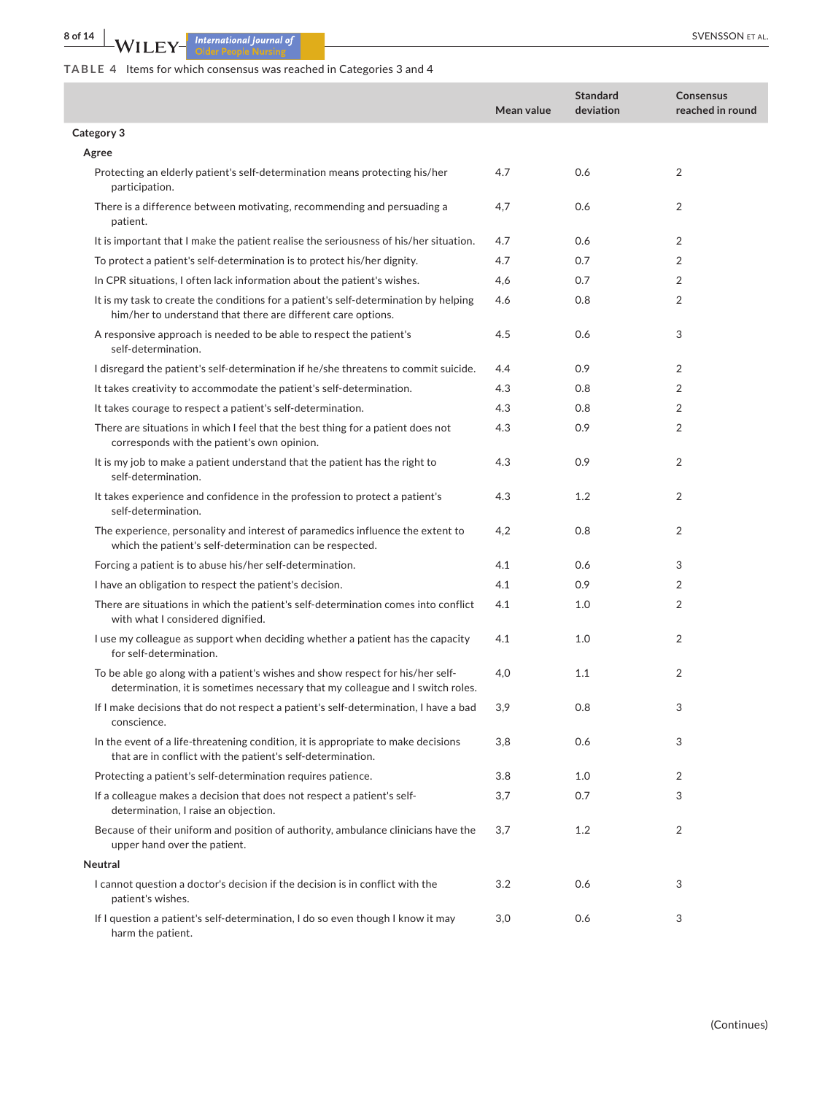**8 of 14 WILEY** *International Journal of CONSSON ET AL.* 

# **TABLE 4** Items for which consensus was reached in Categories 3 and 4

|                                                                                                                                                                  | Mean value | <b>Standard</b><br>deviation | <b>Consensus</b><br>reached in round |
|------------------------------------------------------------------------------------------------------------------------------------------------------------------|------------|------------------------------|--------------------------------------|
| Category 3                                                                                                                                                       |            |                              |                                      |
| Agree                                                                                                                                                            |            |                              |                                      |
| Protecting an elderly patient's self-determination means protecting his/her<br>participation.                                                                    | 4.7        | 0.6                          | 2                                    |
| There is a difference between motivating, recommending and persuading a<br>patient.                                                                              | 4,7        | 0.6                          | $\overline{2}$                       |
| It is important that I make the patient realise the seriousness of his/her situation.                                                                            | 4.7        | 0.6                          | 2                                    |
| To protect a patient's self-determination is to protect his/her dignity.                                                                                         | 4.7        | 0.7                          | 2                                    |
| In CPR situations, I often lack information about the patient's wishes.                                                                                          | 4,6        | 0.7                          | $\overline{2}$                       |
| It is my task to create the conditions for a patient's self-determination by helping<br>him/her to understand that there are different care options.             | 4.6        | 0.8                          | $\overline{2}$                       |
| A responsive approach is needed to be able to respect the patient's<br>self-determination.                                                                       | 4.5        | 0.6                          | 3                                    |
| I disregard the patient's self-determination if he/she threatens to commit suicide.                                                                              | 4.4        | 0.9                          | $\overline{2}$                       |
| It takes creativity to accommodate the patient's self-determination.                                                                                             | 4.3        | 0.8                          | 2                                    |
| It takes courage to respect a patient's self-determination.                                                                                                      | 4.3        | 0.8                          | $\overline{2}$                       |
| There are situations in which I feel that the best thing for a patient does not<br>corresponds with the patient's own opinion.                                   | 4.3        | 0.9                          | $\overline{2}$                       |
| It is my job to make a patient understand that the patient has the right to<br>self-determination.                                                               | 4.3        | 0.9                          | $\overline{2}$                       |
| It takes experience and confidence in the profession to protect a patient's<br>self-determination.                                                               | 4.3        | 1.2                          | $\overline{2}$                       |
| The experience, personality and interest of paramedics influence the extent to<br>which the patient's self-determination can be respected.                       | 4,2        | 0.8                          | 2                                    |
| Forcing a patient is to abuse his/her self-determination.                                                                                                        | 4.1        | 0.6                          | 3                                    |
| I have an obligation to respect the patient's decision.                                                                                                          | 4.1        | 0.9                          | 2                                    |
| There are situations in which the patient's self-determination comes into conflict<br>with what I considered dignified.                                          | 4.1        | 1.0                          | 2                                    |
| I use my colleague as support when deciding whether a patient has the capacity<br>for self-determination.                                                        | 4.1        | 1.0                          | 2                                    |
| To be able go along with a patient's wishes and show respect for his/her self-<br>determination, it is sometimes necessary that my colleague and I switch roles. | 4,0        | 1.1                          | 2                                    |
| If I make decisions that do not respect a patient's self-determination, I have a bad<br>conscience.                                                              | 3,9        | 0.8                          | 3                                    |
| In the event of a life-threatening condition, it is appropriate to make decisions<br>that are in conflict with the patient's self-determination.                 | 3,8        | 0.6                          | 3                                    |
| Protecting a patient's self-determination requires patience.                                                                                                     | 3.8        | 1.0                          | 2                                    |
| If a colleague makes a decision that does not respect a patient's self-<br>determination, I raise an objection.                                                  | 3,7        | 0.7                          | 3                                    |
| Because of their uniform and position of authority, ambulance clinicians have the<br>upper hand over the patient.                                                | 3,7        | 1.2                          | $\overline{2}$                       |
| Neutral                                                                                                                                                          |            |                              |                                      |
| I cannot question a doctor's decision if the decision is in conflict with the<br>patient's wishes.                                                               | 3.2        | 0.6                          | 3                                    |
| If I question a patient's self-determination, I do so even though I know it may<br>harm the patient.                                                             | 3,0        | 0.6                          | 3                                    |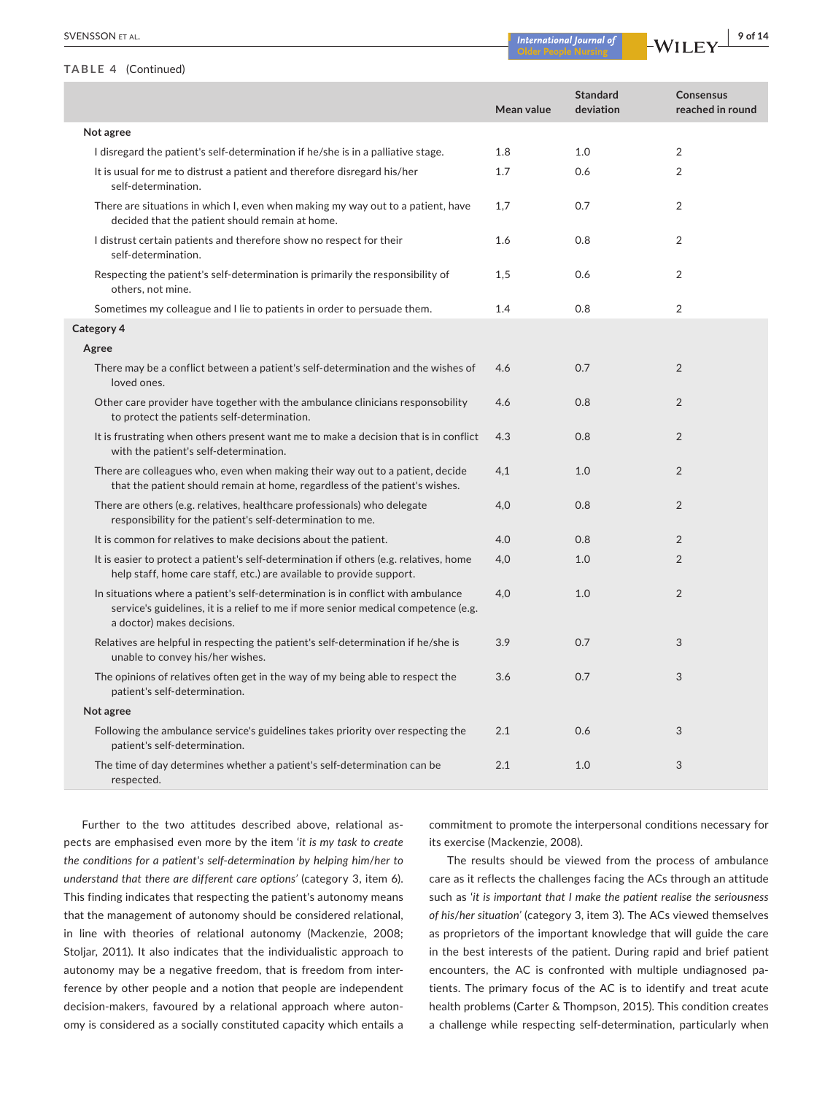#### **TABLE 4** (Continued)

| <b>SVENSSON ET AL.</b> | Zlournal of<br>tional<br>ma<br>anne: | $ -$ | у ог |
|------------------------|--------------------------------------|------|------|
|                        |                                      |      |      |

|                                                                                                                                                                                                      | Mean value | <b>Standard</b><br>deviation | Consensus<br>reached in round |
|------------------------------------------------------------------------------------------------------------------------------------------------------------------------------------------------------|------------|------------------------------|-------------------------------|
| Not agree                                                                                                                                                                                            |            |                              |                               |
| I disregard the patient's self-determination if he/she is in a palliative stage.                                                                                                                     | 1.8        | 1.0                          | 2                             |
| It is usual for me to distrust a patient and therefore disregard his/her<br>self-determination.                                                                                                      | 1.7        | 0.6                          | $\overline{2}$                |
| There are situations in which I, even when making my way out to a patient, have<br>decided that the patient should remain at home.                                                                   | 1,7        | 0.7                          | $\overline{2}$                |
| I distrust certain patients and therefore show no respect for their<br>self-determination.                                                                                                           | 1.6        | 0.8                          | 2                             |
| Respecting the patient's self-determination is primarily the responsibility of<br>others, not mine.                                                                                                  | 1,5        | 0.6                          | 2                             |
| Sometimes my colleague and I lie to patients in order to persuade them.                                                                                                                              | 1.4        | 0.8                          | 2                             |
| Category 4                                                                                                                                                                                           |            |                              |                               |
| Agree                                                                                                                                                                                                |            |                              |                               |
| There may be a conflict between a patient's self-determination and the wishes of<br>loved ones.                                                                                                      | 4.6        | 0.7                          | 2                             |
| Other care provider have together with the ambulance clinicians responsobility<br>to protect the patients self-determination.                                                                        | 4.6        | 0.8                          | $\overline{2}$                |
| It is frustrating when others present want me to make a decision that is in conflict<br>with the patient's self-determination.                                                                       | 4.3        | 0.8                          | 2                             |
| There are colleagues who, even when making their way out to a patient, decide<br>that the patient should remain at home, regardless of the patient's wishes.                                         | 4,1        | 1.0                          | $\overline{2}$                |
| There are others (e.g. relatives, healthcare professionals) who delegate<br>responsibility for the patient's self-determination to me.                                                               | 4,0        | 0.8                          | $\overline{2}$                |
| It is common for relatives to make decisions about the patient.                                                                                                                                      | 4.0        | 0.8                          | 2                             |
| It is easier to protect a patient's self-determination if others (e.g. relatives, home<br>help staff, home care staff, etc.) are available to provide support.                                       | 4,0        | 1.0                          | $\overline{2}$                |
| In situations where a patient's self-determination is in conflict with ambulance<br>service's guidelines, it is a relief to me if more senior medical competence (e.g.<br>a doctor) makes decisions. | 4,0        | 1.0                          | $\overline{2}$                |
| Relatives are helpful in respecting the patient's self-determination if he/she is<br>unable to convey his/her wishes.                                                                                | 3.9        | 0.7                          | 3                             |
| The opinions of relatives often get in the way of my being able to respect the<br>patient's self-determination.                                                                                      | 3.6        | 0.7                          | 3                             |
| Not agree                                                                                                                                                                                            |            |                              |                               |
| Following the ambulance service's guidelines takes priority over respecting the<br>patient's self-determination.                                                                                     | 2.1        | 0.6                          | 3                             |
| The time of day determines whether a patient's self-determination can be<br>respected.                                                                                                               | 2.1        | 1.0                          | 3                             |

Further to the two attitudes described above, relational aspects are emphasised even more by the item '*it is my task to create the conditions for a patient's self*-*determination by helping him*/*her to understand that there are different care options'* (category 3, item 6). This finding indicates that respecting the patient's autonomy means that the management of autonomy should be considered relational, in line with theories of relational autonomy (Mackenzie, 2008; Stoljar, 2011). It also indicates that the individualistic approach to autonomy may be a negative freedom, that is freedom from interference by other people and a notion that people are independent decision-makers, favoured by a relational approach where autonomy is considered as a socially constituted capacity which entails a

commitment to promote the interpersonal conditions necessary for its exercise (Mackenzie, 2008).

The results should be viewed from the process of ambulance care as it reflects the challenges facing the ACs through an attitude such as '*it is important that I make the patient realise the seriousness of his*/*her situation'* (category 3, item 3). The ACs viewed themselves as proprietors of the important knowledge that will guide the care in the best interests of the patient. During rapid and brief patient encounters, the AC is confronted with multiple undiagnosed patients. The primary focus of the AC is to identify and treat acute health problems (Carter & Thompson, 2015). This condition creates a challenge while respecting self-determination, particularly when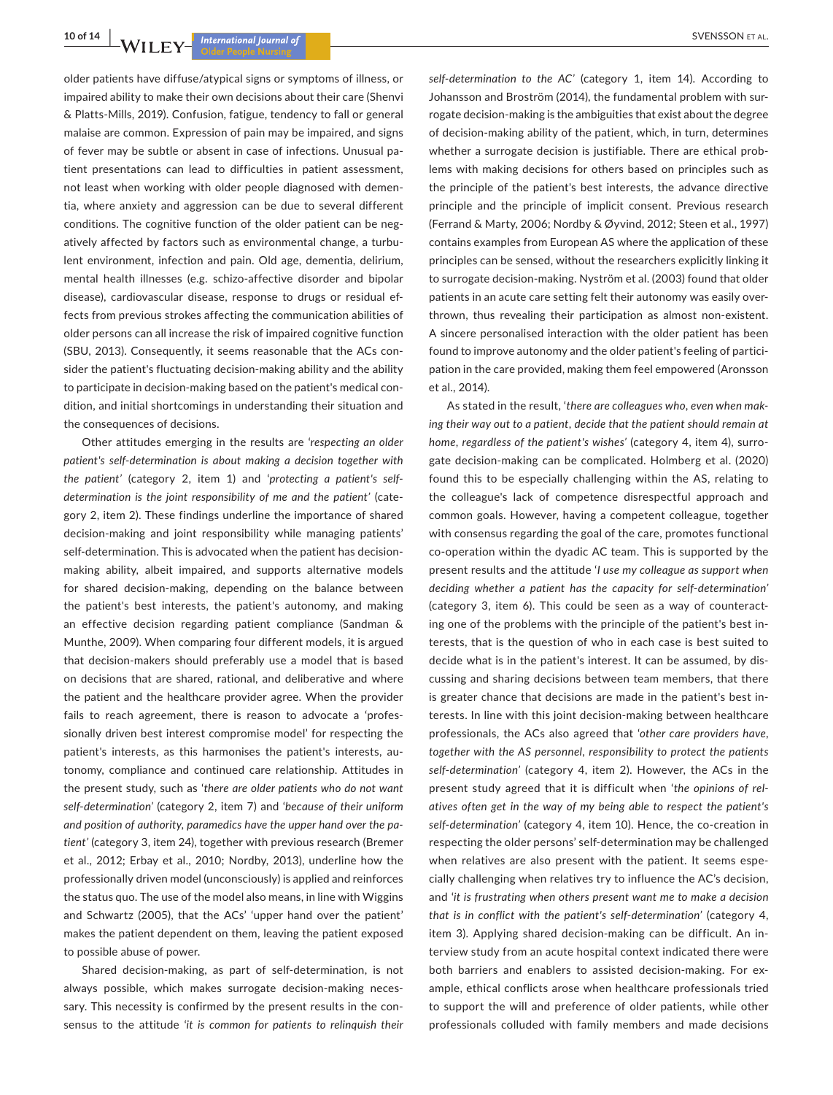older patients have diffuse/atypical signs or symptoms of illness, or impaired ability to make their own decisions about their care (Shenvi & Platts-Mills, 2019). Confusion, fatigue, tendency to fall or general malaise are common. Expression of pain may be impaired, and signs of fever may be subtle or absent in case of infections. Unusual patient presentations can lead to difficulties in patient assessment, not least when working with older people diagnosed with dementia, where anxiety and aggression can be due to several different conditions. The cognitive function of the older patient can be negatively affected by factors such as environmental change, a turbulent environment, infection and pain. Old age, dementia, delirium, mental health illnesses (e.g. schizo-affective disorder and bipolar disease), cardiovascular disease, response to drugs or residual effects from previous strokes affecting the communication abilities of older persons can all increase the risk of impaired cognitive function (SBU, 2013). Consequently, it seems reasonable that the ACs consider the patient's fluctuating decision-making ability and the ability to participate in decision-making based on the patient's medical condition, and initial shortcomings in understanding their situation and the consequences of decisions.

Other attitudes emerging in the results are '*respecting an older patient's self*-*determination is about making a decision together with the patient'* (category 2, item 1) and '*protecting a patient's selfdetermination is the joint responsibility of me and the patient'* (category 2, item 2). These findings underline the importance of shared decision-making and joint responsibility while managing patients' self-determination. This is advocated when the patient has decisionmaking ability, albeit impaired, and supports alternative models for shared decision-making, depending on the balance between the patient's best interests, the patient's autonomy, and making an effective decision regarding patient compliance (Sandman & Munthe, 2009). When comparing four different models, it is argued that decision-makers should preferably use a model that is based on decisions that are shared, rational, and deliberative and where the patient and the healthcare provider agree. When the provider fails to reach agreement, there is reason to advocate a 'professionally driven best interest compromise model' for respecting the patient's interests, as this harmonises the patient's interests, autonomy, compliance and continued care relationship. Attitudes in the present study, such as '*there are older patients who do not want self*-*determination'* (category 2, item 7) and '*because of their uniform and position of authority*, *paramedics have the upper hand over the patient'* (category 3, item 24), together with previous research (Bremer et al., 2012; Erbay et al., 2010; Nordby, 2013), underline how the professionally driven model (unconsciously) is applied and reinforces the status quo. The use of the model also means, in line with Wiggins and Schwartz (2005), that the ACs' 'upper hand over the patient' makes the patient dependent on them, leaving the patient exposed to possible abuse of power.

Shared decision-making, as part of self-determination, is not always possible, which makes surrogate decision-making necessary. This necessity is confirmed by the present results in the consensus to the attitude '*it is common for patients to relinquish their* 

*self*-*determination to the AC'* (category 1, item 14). According to Johansson and Broström (2014), the fundamental problem with surrogate decision-making is the ambiguities that exist about the degree of decision-making ability of the patient, which, in turn, determines whether a surrogate decision is justifiable. There are ethical problems with making decisions for others based on principles such as the principle of the patient's best interests, the advance directive principle and the principle of implicit consent. Previous research (Ferrand & Marty, 2006; Nordby & Øyvind, 2012; Steen et al., 1997) contains examples from European AS where the application of these principles can be sensed, without the researchers explicitly linking it to surrogate decision-making. Nyström et al. (2003) found that older patients in an acute care setting felt their autonomy was easily overthrown, thus revealing their participation as almost non-existent. A sincere personalised interaction with the older patient has been found to improve autonomy and the older patient's feeling of participation in the care provided, making them feel empowered (Aronsson et al., 2014).

As stated in the result, '*there are colleagues who*, *even when making their way out to a patient*, *decide that the patient should remain at home*, *regardless of the patient's wishes'* (category 4, item 4), surrogate decision-making can be complicated. Holmberg et al. (2020) found this to be especially challenging within the AS, relating to the colleague's lack of competence disrespectful approach and common goals. However, having a competent colleague, together with consensus regarding the goal of the care, promotes functional co-operation within the dyadic AC team. This is supported by the present results and the attitude '*I use my colleague as support when deciding whether a patient has the capacity for self*-*determination'* (category 3, item 6). This could be seen as a way of counteracting one of the problems with the principle of the patient's best interests, that is the question of who in each case is best suited to decide what is in the patient's interest. It can be assumed, by discussing and sharing decisions between team members, that there is greater chance that decisions are made in the patient's best interests. In line with this joint decision-making between healthcare professionals, the ACs also agreed that '*other care providers have*, *together with the AS personnel*, *responsibility to protect the patients self*-*determination'* (category 4, item 2). However, the ACs in the present study agreed that it is difficult when '*the opinions of relatives often get in the way of my being able to respect the patient's self*-*determination'* (category 4, item 10). Hence, the co-creation in respecting the older persons' self-determination may be challenged when relatives are also present with the patient. It seems especially challenging when relatives try to influence the AC's decision, and '*it is frustrating when others present want me to make a decision that is in conflict with the patient's self*-*determination'* (category 4, item 3). Applying shared decision-making can be difficult. An interview study from an acute hospital context indicated there were both barriers and enablers to assisted decision-making. For example, ethical conflicts arose when healthcare professionals tried to support the will and preference of older patients, while other professionals colluded with family members and made decisions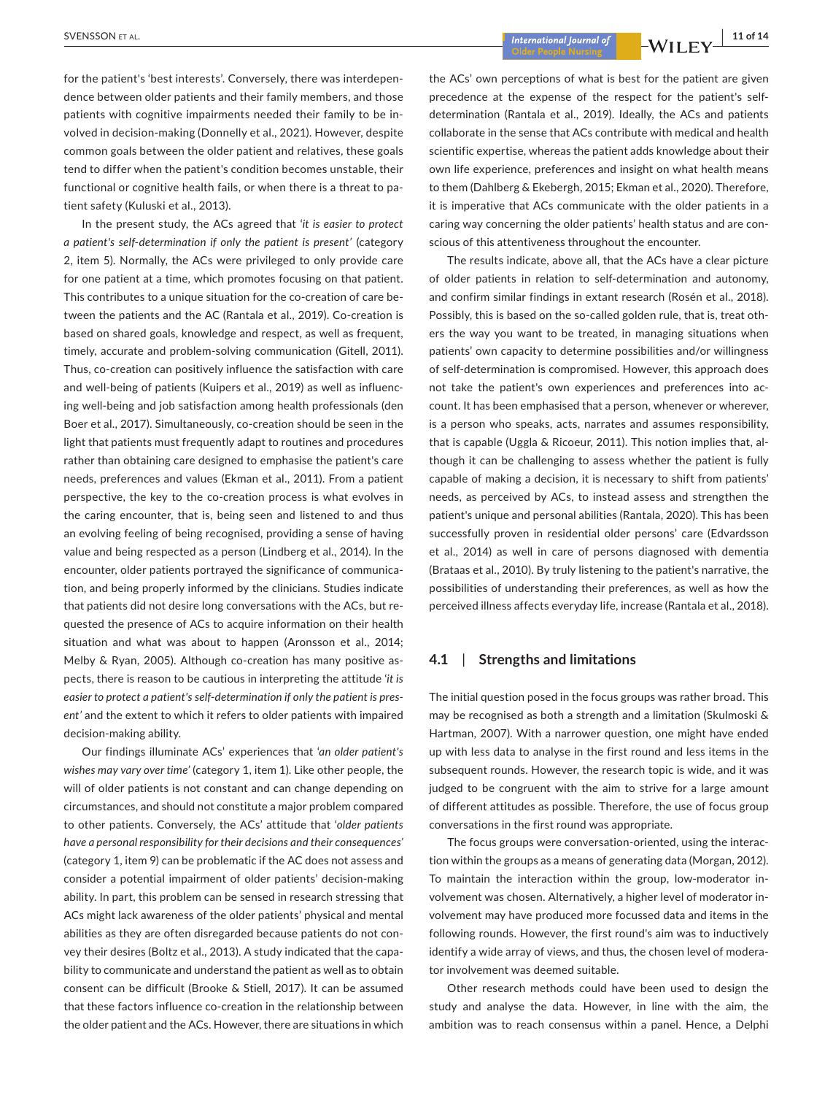**<u>International Journal of CINET WILLEV 2019**<br> **Explorational Superior Act of the CINET WILLEV 2019**</u>

for the patient's 'best interests'. Conversely, there was interdependence between older patients and their family members, and those patients with cognitive impairments needed their family to be involved in decision-making (Donnelly et al., 2021). However, despite common goals between the older patient and relatives, these goals tend to differ when the patient's condition becomes unstable, their functional or cognitive health fails, or when there is a threat to patient safety (Kuluski et al., 2013).

In the present study, the ACs agreed that '*it is easier to protect a patient's self*-*determination if only the patient is present'* (category 2, item 5). Normally, the ACs were privileged to only provide care for one patient at a time, which promotes focusing on that patient. This contributes to a unique situation for the co-creation of care between the patients and the AC (Rantala et al., 2019). Co-creation is based on shared goals, knowledge and respect, as well as frequent, timely, accurate and problem-solving communication (Gitell, 2011). Thus, co-creation can positively influence the satisfaction with care and well-being of patients (Kuipers et al., 2019) as well as influencing well-being and job satisfaction among health professionals (den Boer et al., 2017). Simultaneously, co-creation should be seen in the light that patients must frequently adapt to routines and procedures rather than obtaining care designed to emphasise the patient's care needs, preferences and values (Ekman et al., 2011). From a patient perspective, the key to the co-creation process is what evolves in the caring encounter, that is, being seen and listened to and thus an evolving feeling of being recognised, providing a sense of having value and being respected as a person (Lindberg et al., 2014). In the encounter, older patients portrayed the significance of communication, and being properly informed by the clinicians. Studies indicate that patients did not desire long conversations with the ACs, but requested the presence of ACs to acquire information on their health situation and what was about to happen (Aronsson et al., 2014; Melby & Ryan, 2005). Although co-creation has many positive aspects, there is reason to be cautious in interpreting the attitude '*it is easier to protect a patient's self*-*determination if only the patient is present'* and the extent to which it refers to older patients with impaired decision-making ability.

Our findings illuminate ACs' experiences that '*an older patient's wishes may vary over time'* (category 1, item 1). Like other people, the will of older patients is not constant and can change depending on circumstances, and should not constitute a major problem compared to other patients. Conversely, the ACs' attitude that '*older patients have a personal responsibility for their decisions and their consequences'* (category 1, item 9) can be problematic if the AC does not assess and consider a potential impairment of older patients' decision-making ability. In part, this problem can be sensed in research stressing that ACs might lack awareness of the older patients' physical and mental abilities as they are often disregarded because patients do not convey their desires (Boltz et al., 2013). A study indicated that the capability to communicate and understand the patient as well as to obtain consent can be difficult (Brooke & Stiell, 2017). It can be assumed that these factors influence co-creation in the relationship between the older patient and the ACs. However, there are situations in which

the ACs' own perceptions of what is best for the patient are given precedence at the expense of the respect for the patient's selfdetermination (Rantala et al., 2019). Ideally, the ACs and patients collaborate in the sense that ACs contribute with medical and health scientific expertise, whereas the patient adds knowledge about their own life experience, preferences and insight on what health means to them (Dahlberg & Ekebergh, 2015; Ekman et al., 2020). Therefore, it is imperative that ACs communicate with the older patients in a caring way concerning the older patients' health status and are conscious of this attentiveness throughout the encounter.

The results indicate, above all, that the ACs have a clear picture of older patients in relation to self-determination and autonomy, and confirm similar findings in extant research (Rosén et al., 2018). Possibly, this is based on the so-called golden rule, that is, treat others the way you want to be treated, in managing situations when patients' own capacity to determine possibilities and/or willingness of self-determination is compromised. However, this approach does not take the patient's own experiences and preferences into account. It has been emphasised that a person, whenever or wherever, is a person who speaks, acts, narrates and assumes responsibility, that is capable (Uggla & Ricoeur, 2011). This notion implies that, although it can be challenging to assess whether the patient is fully capable of making a decision, it is necessary to shift from patients' needs, as perceived by ACs, to instead assess and strengthen the patient's unique and personal abilities (Rantala, 2020). This has been successfully proven in residential older persons' care (Edvardsson et al., 2014) as well in care of persons diagnosed with dementia (Brataas et al., 2010). By truly listening to the patient's narrative, the possibilities of understanding their preferences, as well as how the perceived illness affects everyday life, increase (Rantala et al., 2018).

## **4.1**  | **Strengths and limitations**

The initial question posed in the focus groups was rather broad. This may be recognised as both a strength and a limitation (Skulmoski & Hartman, 2007). With a narrower question, one might have ended up with less data to analyse in the first round and less items in the subsequent rounds. However, the research topic is wide, and it was judged to be congruent with the aim to strive for a large amount of different attitudes as possible. Therefore, the use of focus group conversations in the first round was appropriate.

The focus groups were conversation-oriented, using the interaction within the groups as a means of generating data (Morgan, 2012). To maintain the interaction within the group, low-moderator involvement was chosen. Alternatively, a higher level of moderator involvement may have produced more focussed data and items in the following rounds. However, the first round's aim was to inductively identify a wide array of views, and thus, the chosen level of moderator involvement was deemed suitable.

Other research methods could have been used to design the study and analyse the data. However, in line with the aim, the ambition was to reach consensus within a panel. Hence, a Delphi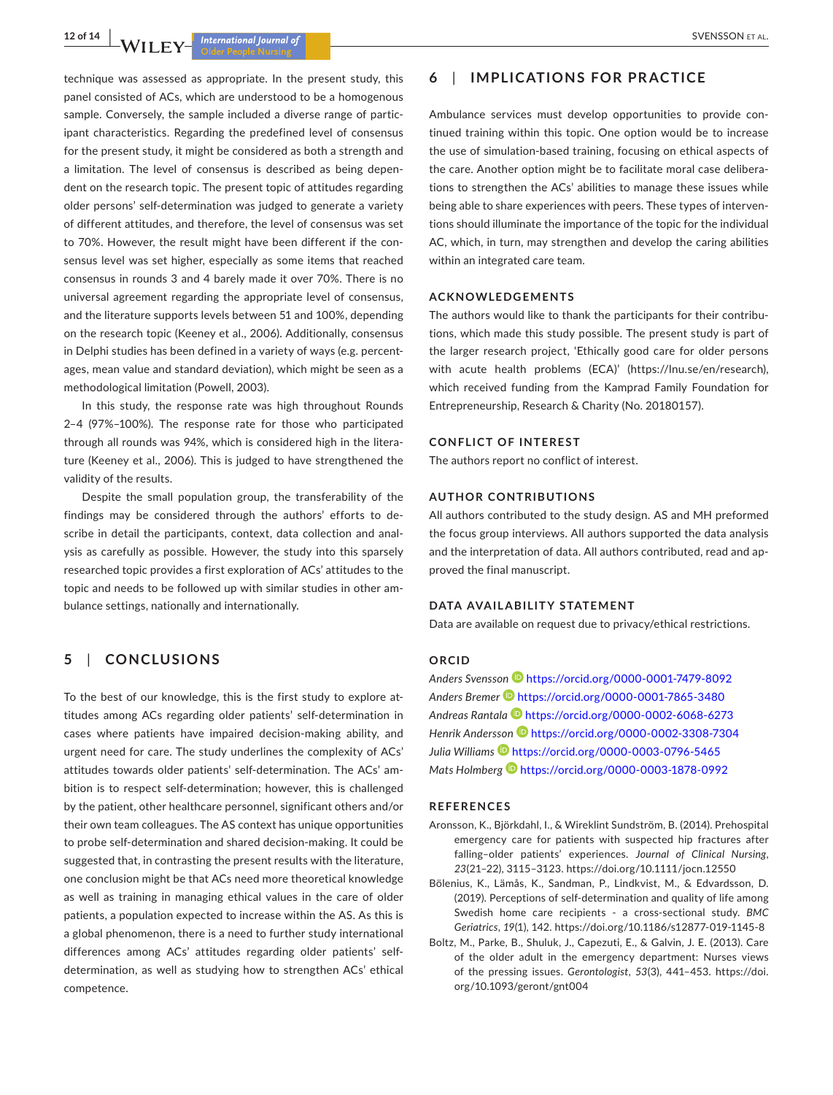technique was assessed as appropriate. In the present study, this panel consisted of ACs, which are understood to be a homogenous sample. Conversely, the sample included a diverse range of participant characteristics. Regarding the predefined level of consensus for the present study, it might be considered as both a strength and a limitation. The level of consensus is described as being dependent on the research topic. The present topic of attitudes regarding older persons' self-determination was judged to generate a variety of different attitudes, and therefore, the level of consensus was set to 70%. However, the result might have been different if the consensus level was set higher, especially as some items that reached consensus in rounds 3 and 4 barely made it over 70%. There is no universal agreement regarding the appropriate level of consensus, and the literature supports levels between 51 and 100%, depending on the research topic (Keeney et al., 2006). Additionally, consensus in Delphi studies has been defined in a variety of ways (e.g. percentages, mean value and standard deviation), which might be seen as a methodological limitation (Powell, 2003).

In this study, the response rate was high throughout Rounds 2–4 (97%–100%). The response rate for those who participated through all rounds was 94%, which is considered high in the literature (Keeney et al., 2006). This is judged to have strengthened the validity of the results.

Despite the small population group, the transferability of the findings may be considered through the authors' efforts to describe in detail the participants, context, data collection and analysis as carefully as possible. However, the study into this sparsely researched topic provides a first exploration of ACs' attitudes to the topic and needs to be followed up with similar studies in other ambulance settings, nationally and internationally.

## **5**  | **CONCLUSIONS**

To the best of our knowledge, this is the first study to explore attitudes among ACs regarding older patients' self-determination in cases where patients have impaired decision-making ability, and urgent need for care. The study underlines the complexity of ACs' attitudes towards older patients' self-determination. The ACs' ambition is to respect self-determination; however, this is challenged by the patient, other healthcare personnel, significant others and/or their own team colleagues. The AS context has unique opportunities to probe self-determination and shared decision-making. It could be suggested that, in contrasting the present results with the literature, one conclusion might be that ACs need more theoretical knowledge as well as training in managing ethical values in the care of older patients, a population expected to increase within the AS. As this is a global phenomenon, there is a need to further study international differences among ACs' attitudes regarding older patients' selfdetermination, as well as studying how to strengthen ACs' ethical competence.

## **6**  | **IMPLICATIONS FOR PRACTICE**

Ambulance services must develop opportunities to provide continued training within this topic. One option would be to increase the use of simulation-based training, focusing on ethical aspects of the care. Another option might be to facilitate moral case deliberations to strengthen the ACs' abilities to manage these issues while being able to share experiences with peers. These types of interventions should illuminate the importance of the topic for the individual AC, which, in turn, may strengthen and develop the caring abilities within an integrated care team.

#### **ACKNOWLEDGEMENTS**

The authors would like to thank the participants for their contributions, which made this study possible. The present study is part of the larger research project, 'Ethically good care for older persons with acute health problems (ECA)' ([https://lnu.se/en/research\)](https://lnu.se/en/research), which received funding from the Kamprad Family Foundation for Entrepreneurship, Research & Charity (No. 20180157).

### **CONFLICT OF INTEREST**

The authors report no conflict of interest.

#### **AUTHOR CONTRIBUTIONS**

All authors contributed to the study design. AS and MH preformed the focus group interviews. All authors supported the data analysis and the interpretation of data. All authors contributed, read and approved the final manuscript.

#### **DATA AVAILABILITY STATEMENT**

Data are available on request due to privacy/ethical restrictions.

### **ORCID**

*Anders Svensson* <https://orcid.org/0000-0001-7479-8092> *Anders Bremer* <https://orcid.org/0000-0001-7865-3480> *Andreas Rantala* <https://orcid.org/0000-0002-6068-6273> *Henrik Andersso[n](https://orcid.org/0000-0002-3308-7304)* <https://orcid.org/0000-0002-3308-7304> Julia Williams<sup>1</sup> <https://orcid.org/0000-0003-0796-5465> *Mats Holmberg* <https://orcid.org/0000-0003-1878-0992>

#### **REFERENCES**

- Aronsson, K., Björkdahl, I., & Wireklint Sundström, B. (2014). Prehospital emergency care for patients with suspected hip fractures after falling–older patients' experiences. *Journal of Clinical Nursing*, *23*(21–22), 3115–3123. <https://doi.org/10.1111/jocn.12550>
- Bölenius, K., Lämås, K., Sandman, P., Lindkvist, M., & Edvardsson, D. (2019). Perceptions of self-determination and quality of life among Swedish home care recipients - a cross-sectional study. *BMC Geriatrics*, *19*(1), 142. <https://doi.org/10.1186/s12877-019-1145-8>
- Boltz, M., Parke, B., Shuluk, J., Capezuti, E., & Galvin, J. E. (2013). Care of the older adult in the emergency department: Nurses views of the pressing issues. *Gerontologist*, *53*(3), 441–453. [https://doi.](https://doi.org/10.1093/geront/gnt004) [org/10.1093/geront/gnt004](https://doi.org/10.1093/geront/gnt004)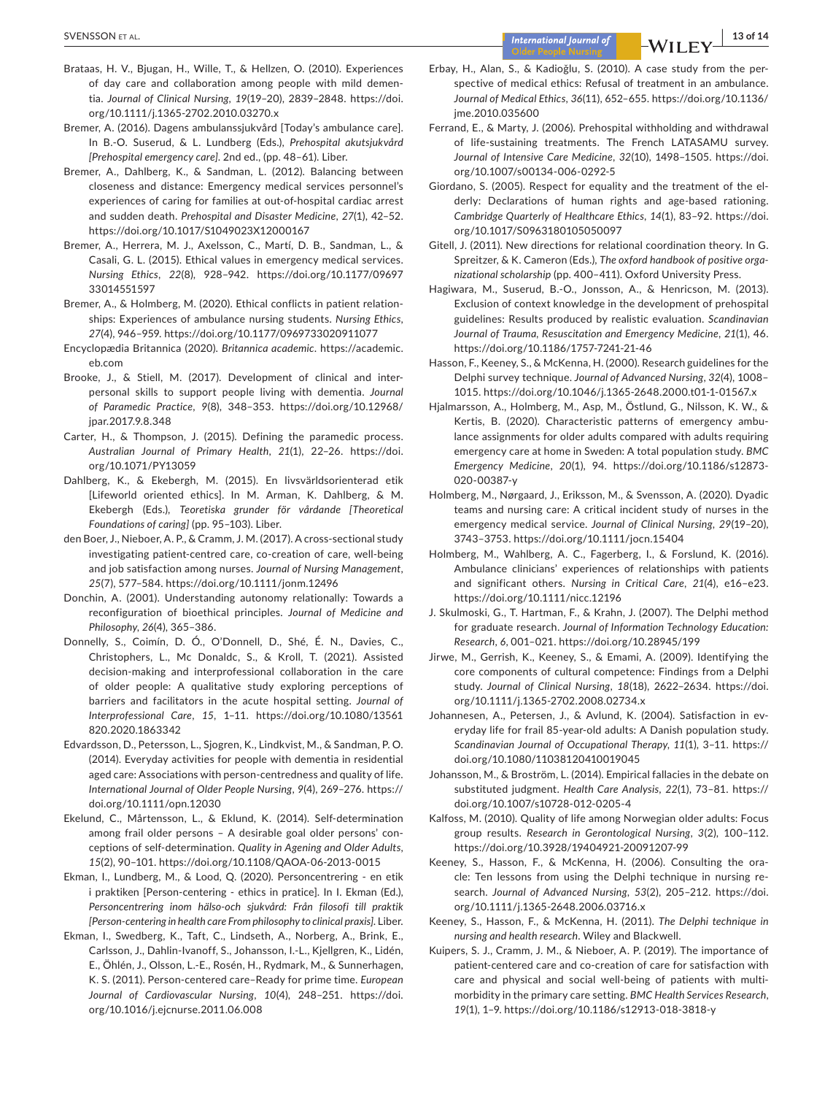- Brataas, H. V., Bjugan, H., Wille, T., & Hellzen, O. (2010). Experiences of day care and collaboration among people with mild dementia. *Journal of Clinical Nursing*, *19*(19–20), 2839–2848. [https://doi.](https://doi.org/10.1111/j.1365-2702.2010.03270.x) [org/10.1111/j.1365-2702.2010.03270.x](https://doi.org/10.1111/j.1365-2702.2010.03270.x)
- Bremer, A. (2016). Dagens ambulanssjukvård [Today's ambulance care]. In B.-O. Suserud, & L. Lundberg (Eds.), *Prehospital akutsjukvård [Prehospital emergency care]*. 2nd ed., (pp. 48–61). Liber.
- Bremer, A., Dahlberg, K., & Sandman, L. (2012). Balancing between closeness and distance: Emergency medical services personnel's experiences of caring for families at out-of-hospital cardiac arrest and sudden death. *Prehospital and Disaster Medicine*, *27*(1), 42–52. <https://doi.org/10.1017/S1049023X12000167>
- Bremer, A., Herrera, M. J., Axelsson, C., Martí, D. B., Sandman, L., & Casali, G. L. (2015). Ethical values in emergency medical services. *Nursing Ethics*, *22*(8), 928–942. [https://doi.org/10.1177/09697](https://doi.org/10.1177/0969733014551597) [33014551597](https://doi.org/10.1177/0969733014551597)
- Bremer, A., & Holmberg, M. (2020). Ethical conflicts in patient relationships: Experiences of ambulance nursing students. *Nursing Ethics*, *27*(4), 946–959. <https://doi.org/10.1177/0969733020911077>
- Encyclopædia Britannica (2020). *Britannica academic*. [https://academic.](https://academic.eb.com) [eb.com](https://academic.eb.com)
- Brooke, J., & Stiell, M. (2017). Development of clinical and interpersonal skills to support people living with dementia. *Journal of Paramedic Practice*, *9*(8), 348–353. [https://doi.org/10.12968/](https://doi.org/10.12968/jpar.2017.9.8.348) [jpar.2017.9.8.348](https://doi.org/10.12968/jpar.2017.9.8.348)
- Carter, H., & Thompson, J. (2015). Defining the paramedic process. *Australian Journal of Primary Health*, *21*(1), 22–26. [https://doi.](https://doi.org/10.1071/PY13059) [org/10.1071/PY13059](https://doi.org/10.1071/PY13059)
- Dahlberg, K., & Ekebergh, M. (2015). En livsvärldsorienterad etik [Lifeworld oriented ethics]. In M. Arman, K. Dahlberg, & M. Ekebergh (Eds.), *Teoretiska grunder för vårdande [Theoretical Foundations of caring]* (pp. 95–103). Liber.
- den Boer, J., Nieboer, A. P., & Cramm, J. M. (2017). A cross-sectional study investigating patient-centred care, co-creation of care, well-being and job satisfaction among nurses. *Journal of Nursing Management*, *25*(7), 577–584. <https://doi.org/10.1111/jonm.12496>
- Donchin, A. (2001). Understanding autonomy relationally: Towards a reconfiguration of bioethical principles. *Journal of Medicine and Philosophy*, *26*(4), 365–386.
- Donnelly, S., Coimín, D. Ó., O'Donnell, D., Shé, É. N., Davies, C., Christophers, L., Mc Donaldc, S., & Kroll, T. (2021). Assisted decision-making and interprofessional collaboration in the care of older people: A qualitative study exploring perceptions of barriers and facilitators in the acute hospital setting. *Journal of Interprofessional Care*, *15*, 1–11. [https://doi.org/10.1080/13561](https://doi.org/10.1080/13561820.2020.1863342) [820.2020.1863342](https://doi.org/10.1080/13561820.2020.1863342)
- Edvardsson, D., Petersson, L., Sjogren, K., Lindkvist, M., & Sandman, P. O. (2014). Everyday activities for people with dementia in residential aged care: Associations with person-centredness and quality of life. *International Journal of Older People Nursing*, *9*(4), 269–276. [https://](https://doi.org/10.1111/opn.12030) [doi.org/10.1111/opn.12030](https://doi.org/10.1111/opn.12030)
- Ekelund, C., Mårtensson, L., & Eklund, K. (2014). Self-determination among frail older persons – A desirable goal older persons' conceptions of self-determination. *Quality in Agening and Older Adults*, *15*(2), 90–101. <https://doi.org/10.1108/QAOA-06-2013-0015>
- Ekman, I., Lundberg, M., & Lood, Q. (2020). Personcentrering en etik i praktiken [Person-centering - ethics in pratice]. In I. Ekman (Ed.), *Personcentrering inom hälso-och sjukvård: Från filosofi till praktik [Person-centering in health care From philosophy to clinical praxis]*. Liber.
- Ekman, I., Swedberg, K., Taft, C., Lindseth, A., Norberg, A., Brink, E., Carlsson, J., Dahlin-Ivanoff, S., Johansson, I.-L., Kjellgren, K., Lidén, E., Öhlén, J., Olsson, L.-E., Rosén, H., Rydmark, M., & Sunnerhagen, K. S. (2011). Person-centered care–Ready for prime time. *European Journal of Cardiovascular Nursing*, *10*(4), 248–251. [https://doi.](https://doi.org/10.1016/j.ejcnurse.2011.06.008) [org/10.1016/j.ejcnurse.2011.06.008](https://doi.org/10.1016/j.ejcnurse.2011.06.008)
- Erbay, H., Alan, S., & Kadioǧlu, S. (2010). A case study from the perspective of medical ethics: Refusal of treatment in an ambulance. *Journal of Medical Ethics*, *36*(11), 652–655. [https://doi.org/10.1136/](https://doi.org/10.1136/jme.2010.035600) [jme.2010.035600](https://doi.org/10.1136/jme.2010.035600)
- Ferrand, E., & Marty, J. (2006). Prehospital withholding and withdrawal of life-sustaining treatments. The French LATASAMU survey. *Journal of Intensive Care Medicine*, *32*(10), 1498–1505. [https://doi.](https://doi.org/10.1007/s00134-006-0292-5) [org/10.1007/s00134-006-0292-5](https://doi.org/10.1007/s00134-006-0292-5)
- Giordano, S. (2005). Respect for equality and the treatment of the elderly: Declarations of human rights and age-based rationing. *Cambridge Quarterly of Healthcare Ethics*, *14*(1), 83–92. [https://doi.](https://doi.org/10.1017/S0963180105050097) [org/10.1017/S0963180105050097](https://doi.org/10.1017/S0963180105050097)
- Gitell, J. (2011). New directions for relational coordination theory. In G. Spreitzer, & K. Cameron (Eds.), *The oxford handbook of positive organizational scholarship* (pp. 400–411). Oxford University Press.
- Hagiwara, M., Suserud, B.-O., Jonsson, A., & Henricson, M. (2013). Exclusion of context knowledge in the development of prehospital guidelines: Results produced by realistic evaluation. *Scandinavian Journal of Trauma, Resuscitation and Emergency Medicine*, *21*(1), 46. <https://doi.org/10.1186/1757-7241-21-46>
- Hasson, F., Keeney, S., & McKenna, H. (2000). Research guidelines for the Delphi survey technique. *Journal of Advanced Nursing*, *32*(4), 1008– 1015. <https://doi.org/10.1046/j.1365-2648.2000.t01-1-01567.x>
- Hjalmarsson, A., Holmberg, M., Asp, M., Östlund, G., Nilsson, K. W., & Kertis, B. (2020). Characteristic patterns of emergency ambulance assignments for older adults compared with adults requiring emergency care at home in Sweden: A total population study. *BMC Emergency Medicine*, *20*(1), 94. [https://doi.org/10.1186/s12873-](https://doi.org/10.1186/s12873-020-00387-y) [020-00387-y](https://doi.org/10.1186/s12873-020-00387-y)
- Holmberg, M., Nørgaard, J., Eriksson, M., & Svensson, A. (2020). Dyadic teams and nursing care: A critical incident study of nurses in the emergency medical service. *Journal of Clinical Nursing*, *29*(19–20), 3743–3753. <https://doi.org/10.1111/jocn.15404>
- Holmberg, M., Wahlberg, A. C., Fagerberg, I., & Forslund, K. (2016). Ambulance clinicians' experiences of relationships with patients and significant others. *Nursing in Critical Care*, *21*(4), e16–e23. <https://doi.org/10.1111/nicc.12196>
- J. Skulmoski, G., T. Hartman, F., & Krahn, J. (2007). The Delphi method for graduate research. *Journal of Information Technology Education: Research*, *6*, 001–021. <https://doi.org/10.28945/199>
- Jirwe, M., Gerrish, K., Keeney, S., & Emami, A. (2009). Identifying the core components of cultural competence: Findings from a Delphi study. *Journal of Clinical Nursing*, *18*(18), 2622–2634. [https://doi.](https://doi.org/10.1111/j.1365-2702.2008.02734.x) [org/10.1111/j.1365-2702.2008.02734.x](https://doi.org/10.1111/j.1365-2702.2008.02734.x)
- Johannesen, A., Petersen, J., & Avlund, K. (2004). Satisfaction in everyday life for frail 85-year-old adults: A Danish population study. *Scandinavian Journal of Occupational Therapy*, *11*(1), 3–11. [https://](https://doi.org/10.1080/11038120410019045) [doi.org/10.1080/11038120410019045](https://doi.org/10.1080/11038120410019045)
- Johansson, M., & Broström, L. (2014). Empirical fallacies in the debate on substituted judgment. *Health Care Analysis*, *22*(1), 73–81. [https://](https://doi.org/10.1007/s10728-012-0205-4) [doi.org/10.1007/s10728-012-0205-4](https://doi.org/10.1007/s10728-012-0205-4)
- Kalfoss, M. (2010). Quality of life among Norwegian older adults: Focus group results. *Research in Gerontological Nursing*, *3*(2), 100–112. <https://doi.org/10.3928/19404921-20091207-99>
- Keeney, S., Hasson, F., & McKenna, H. (2006). Consulting the oracle: Ten lessons from using the Delphi technique in nursing research. *Journal of Advanced Nursing*, *53*(2), 205–212. [https://doi.](https://doi.org/10.1111/j.1365-2648.2006.03716.x) [org/10.1111/j.1365-2648.2006.03716.x](https://doi.org/10.1111/j.1365-2648.2006.03716.x)
- Keeney, S., Hasson, F., & McKenna, H. (2011). *The Delphi technique in nursing and health research*. Wiley and Blackwell.
- Kuipers, S. J., Cramm, J. M., & Nieboer, A. P. (2019). The importance of patient-centered care and co-creation of care for satisfaction with care and physical and social well-being of patients with multimorbidity in the primary care setting. *BMC Health Services Research*, *19*(1), 1–9. <https://doi.org/10.1186/s12913-018-3818-y>